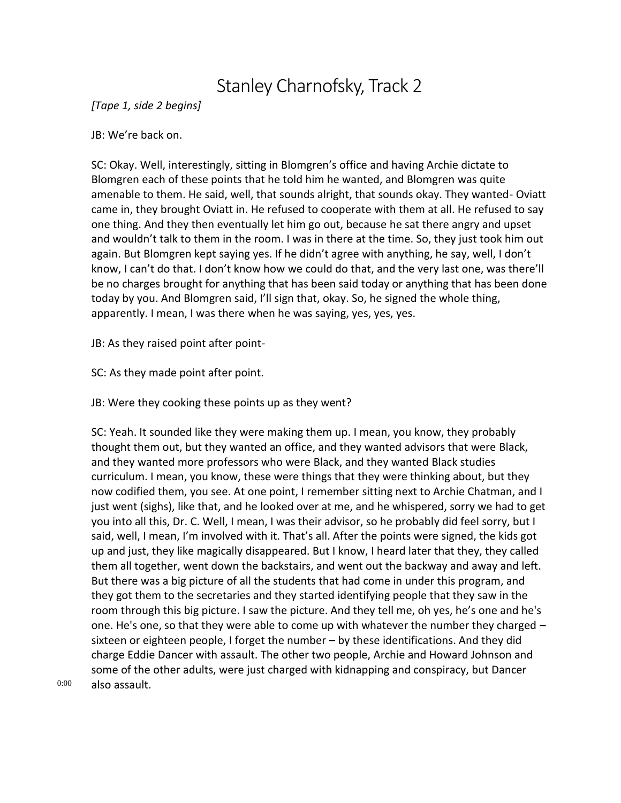## Stanley Charnofsky, Track 2

*[Tape 1, side 2 begins]*

JB: We're back on.

SC: Okay. Well, interestingly, sitting in Blomgren's office and having Archie dictate to Blomgren each of these points that he told him he wanted, and Blomgren was quite amenable to them. He said, well, that sounds alright, that sounds okay. They wanted- Oviatt came in, they brought Oviatt in. He refused to cooperate with them at all. He refused to say one thing. And they then eventually let him go out, because he sat there angry and upset and wouldn't talk to them in the room. I was in there at the time. So, they just took him out again. But Blomgren kept saying yes. If he didn't agree with anything, he say, well, I don't know, I can't do that. I don't know how we could do that, and the very last one, was there'll be no charges brought for anything that has been said today or anything that has been done today by you. And Blomgren said, I'll sign that, okay. So, he signed the whole thing, apparently. I mean, I was there when he was saying, yes, yes, yes.

JB: As they raised point after point-

SC: As they made point after point.

JB: Were they cooking these points up as they went?

SC: Yeah. It sounded like they were making them up. I mean, you know, they probably thought them out, but they wanted an office, and they wanted advisors that were Black, and they wanted more professors who were Black, and they wanted Black studies curriculum. I mean, you know, these were things that they were thinking about, but they now codified them, you see. At one point, I remember sitting next to Archie Chatman, and I just went (sighs), like that, and he looked over at me, and he whispered, sorry we had to get you into all this, Dr. C. Well, I mean, I was their advisor, so he probably did feel sorry, but I said, well, I mean, I'm involved with it. That's all. After the points were signed, the kids got up and just, they like magically disappeared. But I know, I heard later that they, they called them all together, went down the backstairs, and went out the backway and away and left. But there was a big picture of all the students that had come in under this program, and they got them to the secretaries and they started identifying people that they saw in the room through this big picture. I saw the picture. And they tell me, oh yes, he's one and he's one. He's one, so that they were able to come up with whatever the number they charged  $$ sixteen or eighteen people, I forget the number – by these identifications. And they did charge Eddie Dancer with assault. The other two people, Archie and Howard Johnson and some of the other adults, were just charged with kidnapping and conspiracy, but Dancer also assault.

0:00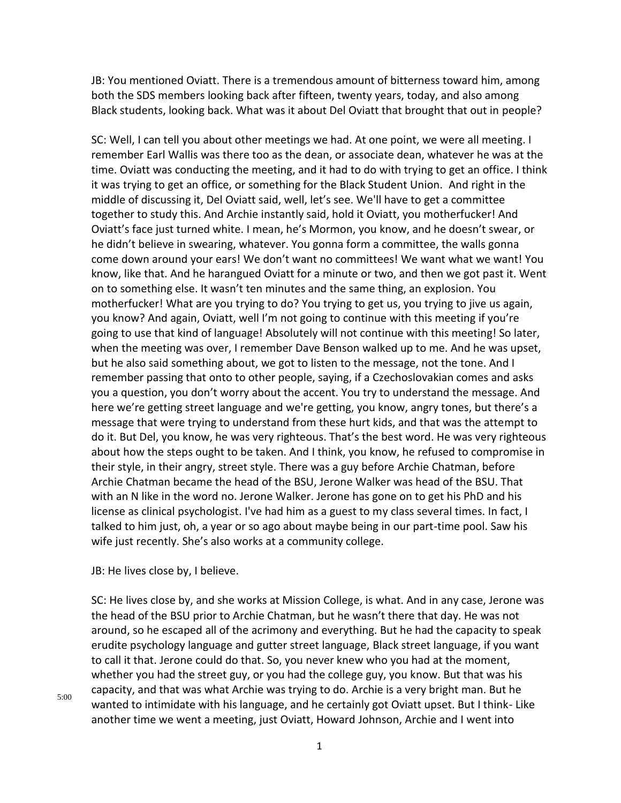JB: You mentioned Oviatt. There is a tremendous amount of bitterness toward him, among both the SDS members looking back after fifteen, twenty years, today, and also among Black students, looking back. What was it about Del Oviatt that brought that out in people?

SC: Well, I can tell you about other meetings we had. At one point, we were all meeting. I remember Earl Wallis was there too as the dean, or associate dean, whatever he was at the time. Oviatt was conducting the meeting, and it had to do with trying to get an office. I think it was trying to get an office, or something for the Black Student Union. And right in the middle of discussing it, Del Oviatt said, well, let's see. We'll have to get a committee together to study this. And Archie instantly said, hold it Oviatt, you motherfucker! And Oviatt's face just turned white. I mean, he's Mormon, you know, and he doesn't swear, or he didn't believe in swearing, whatever. You gonna form a committee, the walls gonna come down around your ears! We don't want no committees! We want what we want! You know, like that. And he harangued Oviatt for a minute or two, and then we got past it. Went on to something else. It wasn't ten minutes and the same thing, an explosion. You motherfucker! What are you trying to do? You trying to get us, you trying to jive us again, you know? And again, Oviatt, well I'm not going to continue with this meeting if you're going to use that kind of language! Absolutely will not continue with this meeting! So later, when the meeting was over, I remember Dave Benson walked up to me. And he was upset, but he also said something about, we got to listen to the message, not the tone. And I remember passing that onto to other people, saying, if a Czechoslovakian comes and asks you a question, you don't worry about the accent. You try to understand the message. And here we're getting street language and we're getting, you know, angry tones, but there's a message that were trying to understand from these hurt kids, and that was the attempt to do it. But Del, you know, he was very righteous. That's the best word. He was very righteous about how the steps ought to be taken. And I think, you know, he refused to compromise in their style, in their angry, street style. There was a guy before Archie Chatman, before Archie Chatman became the head of the BSU, Jerone Walker was head of the BSU. That with an N like in the word no. Jerone Walker. Jerone has gone on to get his PhD and his license as clinical psychologist. I've had him as a guest to my class several times. In fact, I talked to him just, oh, a year or so ago about maybe being in our part-time pool. Saw his wife just recently. She's also works at a community college.

JB: He lives close by, I believe.

SC: He lives close by, and she works at Mission College, is what. And in any case, Jerone was the head of the BSU prior to Archie Chatman, but he wasn't there that day. He was not around, so he escaped all of the acrimony and everything. But he had the capacity to speak erudite psychology language and gutter street language, Black street language, if you want to call it that. Jerone could do that. So, you never knew who you had at the moment, whether you had the street guy, or you had the college guy, you know. But that was his capacity, and that was what Archie was trying to do. Archie is a very bright man. But he wanted to intimidate with his language, and he certainly got Oviatt upset. But I think- Like another time we went a meeting, just Oviatt, Howard Johnson, Archie and I went into

5:00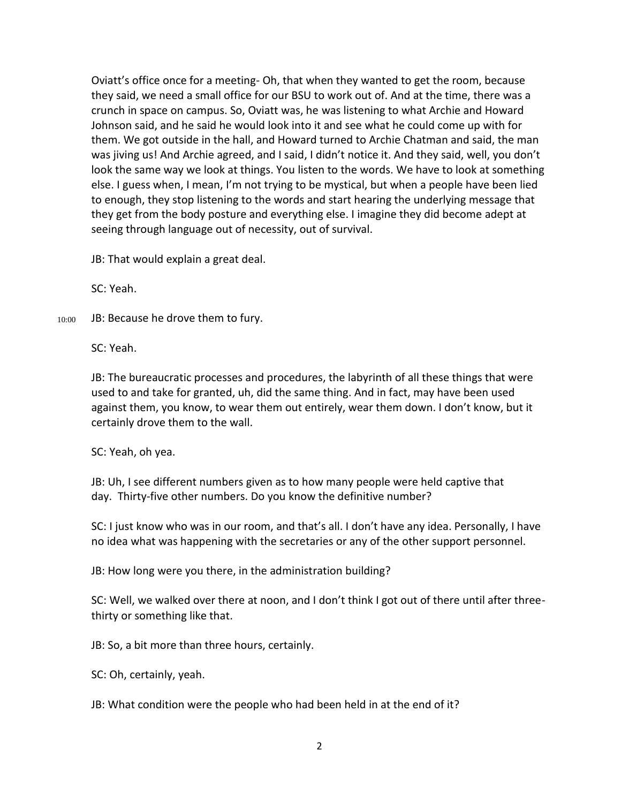Oviatt's office once for a meeting- Oh, that when they wanted to get the room, because they said, we need a small office for our BSU to work out of. And at the time, there was a crunch in space on campus. So, Oviatt was, he was listening to what Archie and Howard Johnson said, and he said he would look into it and see what he could come up with for them. We got outside in the hall, and Howard turned to Archie Chatman and said, the man was jiving us! And Archie agreed, and I said, I didn't notice it. And they said, well, you don't look the same way we look at things. You listen to the words. We have to look at something else. I guess when, I mean, I'm not trying to be mystical, but when a people have been lied to enough, they stop listening to the words and start hearing the underlying message that they get from the body posture and everything else. I imagine they did become adept at seeing through language out of necessity, out of survival.

JB: That would explain a great deal.

SC: Yeah.

10:00 JB: Because he drove them to fury.

SC: Yeah.

JB: The bureaucratic processes and procedures, the labyrinth of all these things that were used to and take for granted, uh, did the same thing. And in fact, may have been used against them, you know, to wear them out entirely, wear them down. I don't know, but it certainly drove them to the wall.

SC: Yeah, oh yea.

JB: Uh, I see different numbers given as to how many people were held captive that day. Thirty-five other numbers. Do you know the definitive number?

SC: I just know who was in our room, and that's all. I don't have any idea. Personally, I have no idea what was happening with the secretaries or any of the other support personnel.

JB: How long were you there, in the administration building?

SC: Well, we walked over there at noon, and I don't think I got out of there until after threethirty or something like that.

JB: So, a bit more than three hours, certainly.

SC: Oh, certainly, yeah.

JB: What condition were the people who had been held in at the end of it?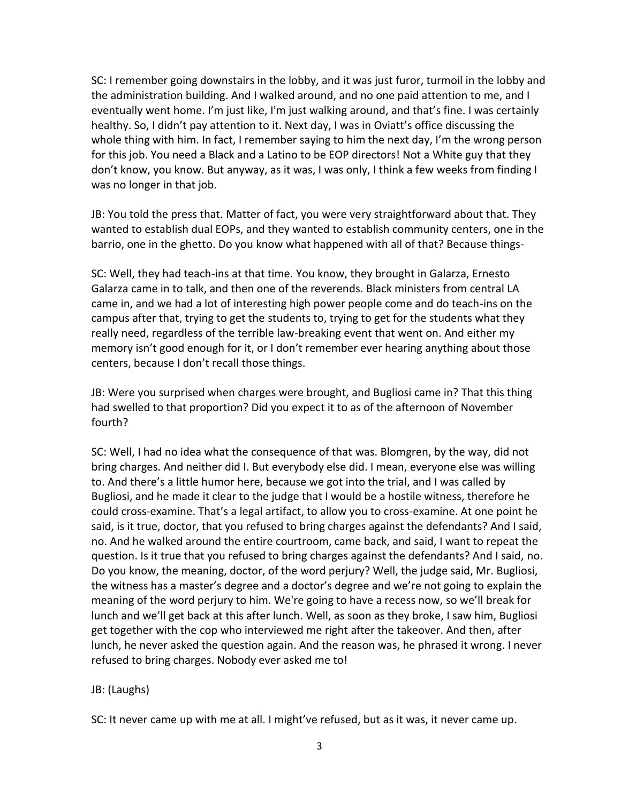SC: I remember going downstairs in the lobby, and it was just furor, turmoil in the lobby and the administration building. And I walked around, and no one paid attention to me, and I eventually went home. I'm just like, I'm just walking around, and that's fine. I was certainly healthy. So, I didn't pay attention to it. Next day, I was in Oviatt's office discussing the whole thing with him. In fact, I remember saying to him the next day, I'm the wrong person for this job. You need a Black and a Latino to be EOP directors! Not a White guy that they don't know, you know. But anyway, as it was, I was only, I think a few weeks from finding I was no longer in that job.

JB: You told the press that. Matter of fact, you were very straightforward about that. They wanted to establish dual EOPs, and they wanted to establish community centers, one in the barrio, one in the ghetto. Do you know what happened with all of that? Because things-

SC: Well, they had teach-ins at that time. You know, they brought in Galarza, Ernesto Galarza came in to talk, and then one of the reverends. Black ministers from central LA came in, and we had a lot of interesting high power people come and do teach-ins on the campus after that, trying to get the students to, trying to get for the students what they really need, regardless of the terrible law-breaking event that went on. And either my memory isn't good enough for it, or I don't remember ever hearing anything about those centers, because I don't recall those things.

JB: Were you surprised when charges were brought, and Bugliosi came in? That this thing had swelled to that proportion? Did you expect it to as of the afternoon of November fourth?

SC: Well, I had no idea what the consequence of that was. Blomgren, by the way, did not bring charges. And neither did I. But everybody else did. I mean, everyone else was willing to. And there's a little humor here, because we got into the trial, and I was called by Bugliosi, and he made it clear to the judge that I would be a hostile witness, therefore he could cross-examine. That's a legal artifact, to allow you to cross-examine. At one point he said, is it true, doctor, that you refused to bring charges against the defendants? And I said, no. And he walked around the entire courtroom, came back, and said, I want to repeat the question. Is it true that you refused to bring charges against the defendants? And I said, no. Do you know, the meaning, doctor, of the word perjury? Well, the judge said, Mr. Bugliosi, the witness has a master's degree and a doctor's degree and we're not going to explain the meaning of the word perjury to him. We're going to have a recess now, so we'll break for lunch and we'll get back at this after lunch. Well, as soon as they broke, I saw him, Bugliosi get together with the cop who interviewed me right after the takeover. And then, after lunch, he never asked the question again. And the reason was, he phrased it wrong. I never refused to bring charges. Nobody ever asked me to!

## JB: (Laughs)

SC: It never came up with me at all. I might've refused, but as it was, it never came up.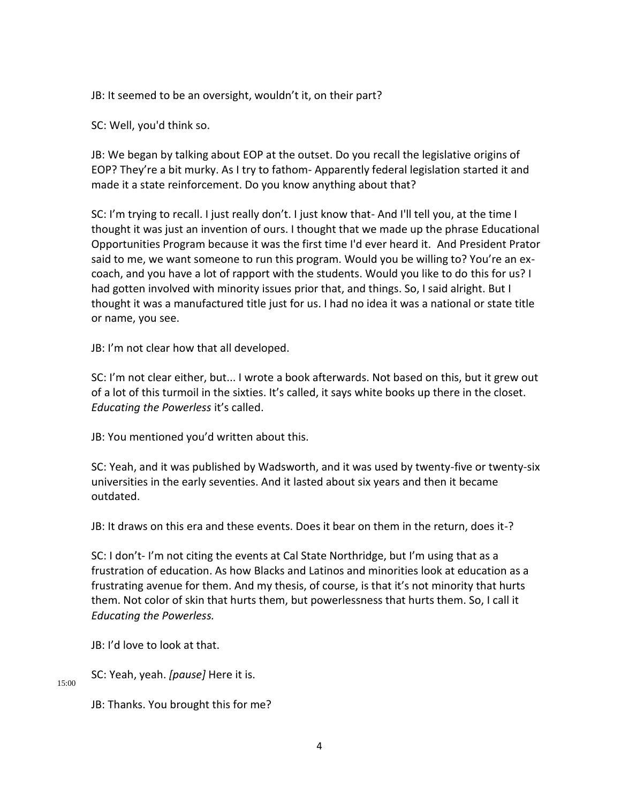JB: It seemed to be an oversight, wouldn't it, on their part?

SC: Well, you'd think so.

JB: We began by talking about EOP at the outset. Do you recall the legislative origins of EOP? They're a bit murky. As I try to fathom- Apparently federal legislation started it and made it a state reinforcement. Do you know anything about that?

SC: I'm trying to recall. I just really don't. I just know that- And I'll tell you, at the time I thought it was just an invention of ours. I thought that we made up the phrase Educational Opportunities Program because it was the first time I'd ever heard it. And President Prator said to me, we want someone to run this program. Would you be willing to? You're an excoach, and you have a lot of rapport with the students. Would you like to do this for us? I had gotten involved with minority issues prior that, and things. So, I said alright. But I thought it was a manufactured title just for us. I had no idea it was a national or state title or name, you see.

JB: I'm not clear how that all developed.

SC: I'm not clear either, but... I wrote a book afterwards. Not based on this, but it grew out of a lot of this turmoil in the sixties. It's called, it says white books up there in the closet. *Educating the Powerless* it's called.

JB: You mentioned you'd written about this.

SC: Yeah, and it was published by Wadsworth, and it was used by twenty-five or twenty-six universities in the early seventies. And it lasted about six years and then it became outdated.

JB: It draws on this era and these events. Does it bear on them in the return, does it-?

SC: I don't- I'm not citing the events at Cal State Northridge, but I'm using that as a frustration of education. As how Blacks and Latinos and minorities look at education as a frustrating avenue for them. And my thesis, of course, is that it's not minority that hurts them. Not color of skin that hurts them, but powerlessness that hurts them. So, I call it *Educating the Powerless.*

JB: I'd love to look at that.

15:00 SC: Yeah, yeah. *[pause]* Here it is.

JB: Thanks. You brought this for me?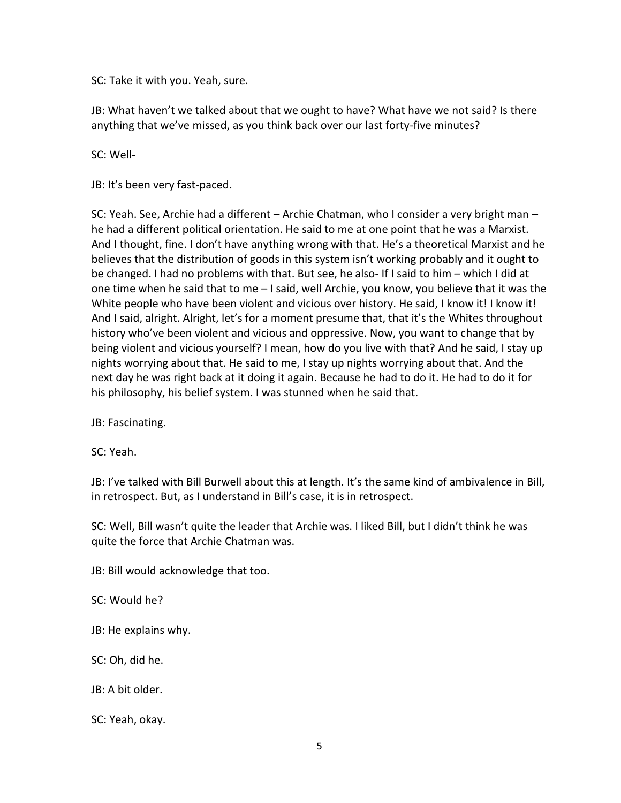SC: Take it with you. Yeah, sure.

JB: What haven't we talked about that we ought to have? What have we not said? Is there anything that we've missed, as you think back over our last forty-five minutes?

SC: Well-

JB: It's been very fast-paced.

SC: Yeah. See, Archie had a different – Archie Chatman, who I consider a very bright man – he had a different political orientation. He said to me at one point that he was a Marxist. And I thought, fine. I don't have anything wrong with that. He's a theoretical Marxist and he believes that the distribution of goods in this system isn't working probably and it ought to be changed. I had no problems with that. But see, he also- If I said to him – which I did at one time when he said that to me – I said, well Archie, you know, you believe that it was the White people who have been violent and vicious over history. He said, I know it! I know it! And I said, alright. Alright, let's for a moment presume that, that it's the Whites throughout history who've been violent and vicious and oppressive. Now, you want to change that by being violent and vicious yourself? I mean, how do you live with that? And he said, I stay up nights worrying about that. He said to me, I stay up nights worrying about that. And the next day he was right back at it doing it again. Because he had to do it. He had to do it for his philosophy, his belief system. I was stunned when he said that.

JB: Fascinating.

SC: Yeah.

JB: I've talked with Bill Burwell about this at length. It's the same kind of ambivalence in Bill, in retrospect. But, as I understand in Bill's case, it is in retrospect.

SC: Well, Bill wasn't quite the leader that Archie was. I liked Bill, but I didn't think he was quite the force that Archie Chatman was.

JB: Bill would acknowledge that too.

SC: Would he?

JB: He explains why.

SC: Oh, did he.

JB: A bit older.

SC: Yeah, okay.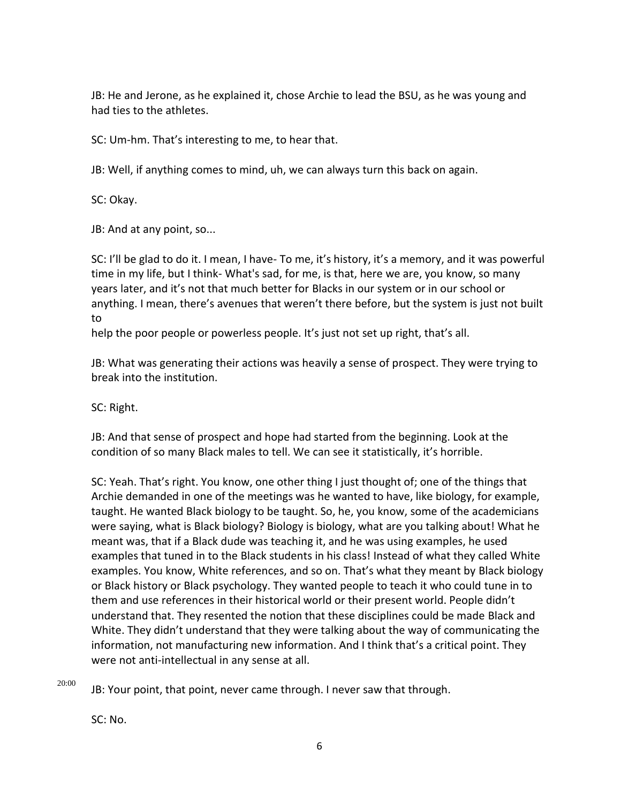JB: He and Jerone, as he explained it, chose Archie to lead the BSU, as he was young and had ties to the athletes.

SC: Um-hm. That's interesting to me, to hear that.

JB: Well, if anything comes to mind, uh, we can always turn this back on again.

SC: Okay.

JB: And at any point, so...

SC: I'll be glad to do it. I mean, I have- To me, it's history, it's a memory, and it was powerful time in my life, but I think- What's sad, for me, is that, here we are, you know, so many years later, and it's not that much better for Blacks in our system or in our school or anything. I mean, there's avenues that weren't there before, but the system is just not built to

help the poor people or powerless people. It's just not set up right, that's all.

JB: What was generating their actions was heavily a sense of prospect. They were trying to break into the institution.

SC: Right.

JB: And that sense of prospect and hope had started from the beginning. Look at the condition of so many Black males to tell. We can see it statistically, it's horrible.

SC: Yeah. That's right. You know, one other thing I just thought of; one of the things that Archie demanded in one of the meetings was he wanted to have, like biology, for example, taught. He wanted Black biology to be taught. So, he, you know, some of the academicians were saying, what is Black biology? Biology is biology, what are you talking about! What he meant was, that if a Black dude was teaching it, and he was using examples, he used examples that tuned in to the Black students in his class! Instead of what they called White examples. You know, White references, and so on. That's what they meant by Black biology or Black history or Black psychology. They wanted people to teach it who could tune in to them and use references in their historical world or their present world. People didn't understand that. They resented the notion that these disciplines could be made Black and White. They didn't understand that they were talking about the way of communicating the information, not manufacturing new information. And I think that's a critical point. They were not anti-intellectual in any sense at all.

20:00

JB: Your point, that point, never came through. I never saw that through.

SC: No.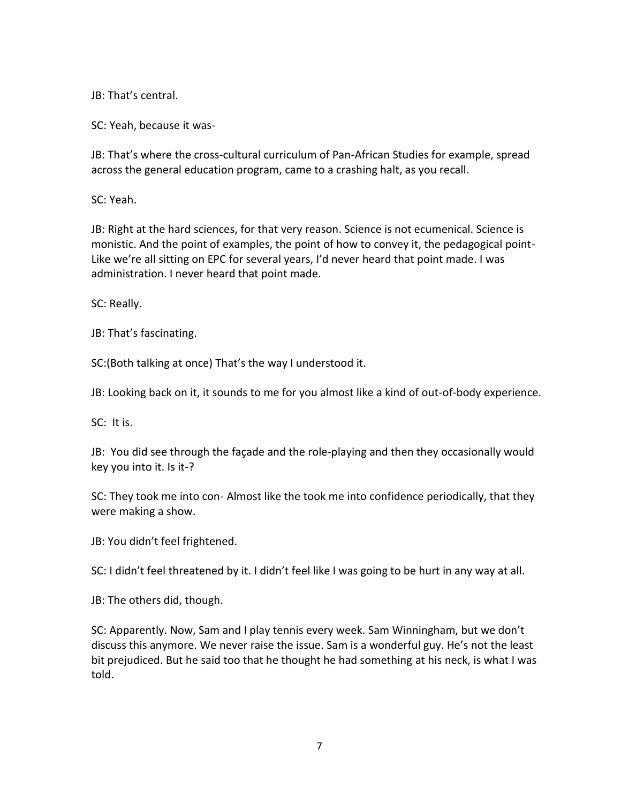JB: That's central.

SC: Yeah, because it was-

JB: That's where the cross-cultural curriculum of Pan-African Studies for example, spread across the general education program, came to a crashing halt, as you recall.

SC: Yeah.

JB: Right at the hard sciences, for that very reason. Science is not ecumenical. Science is monistic. And the point of examples, the point of how to convey it, the pedagogical point-Like we're all sitting on EPC for several years, I'd never heard that point made. I was administration. I never heard that point made.

SC: Really.

JB: That's fascinating.

SC:(Both talking at once) That's the way I understood it.

JB: Looking back on it, it sounds to me for you almost like a kind of out-of-body experience.

SC: It is.

JB: You did see through the façade and the role-playing and then they occasionally would key you into it. Is it-?

SC: They took me into con- Almost like the took me into confidence periodically, that they were making a show.

JB: You didn't feel frightened.

SC: I didn't feel threatened by it. I didn't feel like I was going to be hurt in any way at all.

JB: The others did, though.

SC: Apparently. Now, Sam and I play tennis every week. Sam Winningham, but we don't discuss this anymore. We never raise the issue. Sam is a wonderful guy. He's not the least bit prejudiced. But he said too that he thought he had something at his neck, is what I was told.